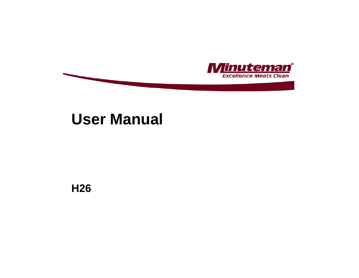

# **User Manual**

**H26**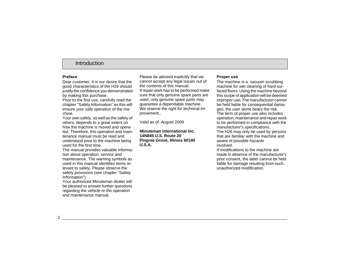# Introduction

### **Preface**

Dear customer, It is our desire that the good characteristics of the H26 should justify the confidence you demonstrated by making this purchase.

Prior to the first use, carefully read the chapter "Safety Information" as this will ensure your safe operation of the machine.

Your own safety, as well as the safety of others, depends to a great extent on how the machine is moved and operated. Therefore, this operation and maintenance manual must be read and understood prior to the machine being used for the first time.

The manual provides valuable information about operation, service and maintenance. The warning symbols as used in this manual identifies items relevant to safety. Please observe the safety provisions (see chapter "Safety Information").

Your authorized Minuteman dealer will be pleased to answer further questions regarding the vehicle or the operation and maintenance manual.

Please be advised explicitly that we cannot accept any legal issues out of the contents of this manual.If repair work has to be performed make sure that only genuine spare parts are used; only genuine spare parts may guarantee a dependable machine. We reserve the right for technical improvement..

Valid as of: August 2009

#### **Minuteman International Inc.14N845 U.S. Route 20Pingree Grove, Illinois 60140 U.S.A.**

#### **Proper use**

The machine is a vacuum scrubbing machine for wet cleaning of hard-surfaced floors. Using the machine beyond this scope of application will be deemed improper use; The manufacturer cannot be held liable for consequential damages; the user alone bears the risk. The term of proper use also includes operation, maintenance and repair work to be performed in compliance with the manufacturer's specifications. The H26 may only be used by persons that are familiar with the machine and aware of possible hazards involved.

If modifications to the machine are made in absence of the manufacturer's prior consent, the latter cannot be held liable for damage resulting from such unauthorized modification.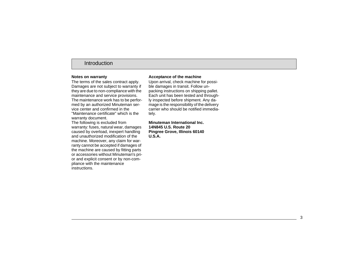### Introduction

#### **Notes on warranty**

The terms of the sales contract apply. Damages are not subject to warranty if they are due to non-compliance with the maintenance and service provisions. The maintenance work has to be performed by an authorized Minuteman service center and confirmed in the "Maintenance certificate" which is the

warranty document.

The following is excluded from warranty: fuses, natural wear, damages caused by overload, inexpert handling and unauthorized modification of the machine. Moreover, any claim for warranty cannot be accepted if damages of the machine are caused by fitting parts or accessories without Minuteman's prior and explicit consent or by non-compliance with the maintenance instructions.

#### **Acceptance of the machine**

Upon arrival, check machine for possible damages in transit. Follow unpacking instructions on shipping pallet. Each unit has been tested and throughly inspected before shipment. Any damage is the responsibility of the delivery carrier who should be notified immediately.

**Minuteman International Inc.14N845 U.S. Route 20Pingree Grove, Illinois 60140 U.S.A.**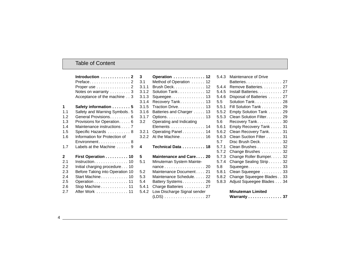### Table of Content

|              | Introduction $\ldots \ldots \ldots$<br>Preface2 |
|--------------|-------------------------------------------------|
|              |                                                 |
|              | Proper use $\ldots \ldots \ldots \ldots 2$      |
|              | Notes on warranty  3                            |
|              | Acceptance of the machine 3                     |
| 1            | Safety information 5                            |
| 1.1          | Safety and Warning Symbols. 5                   |
| 1.2          | General Provisions 6                            |
| 1.3          | Provisions for Operation. 6                     |
| 1.4          | Maintenance instructions 7                      |
| 1.5          | Specific Hazards  8                             |
| 1.6          | Information for Protection of                   |
|              | Environment 8                                   |
| 1.7          | Labels at the Machine  9                        |
| $\mathbf{2}$ | First Operation 10                              |
| 2.1          | $Instruction. 10$                               |
| 2.2          | Initial charging procedure 10                   |
| 2.3          | Before Taking into Operation 10                 |
| 2.4          | Start Machine 10                                |
|              |                                                 |
| 2.5          | Operation 11                                    |
| 2.6          | Stop Machine 11                                 |
| 2.7          |                                                 |

| 3                 | Operation  12               |
|-------------------|-----------------------------|
| 3.1               | Method of Operation  12     |
| 3.1.1             | Brush Deck. 12              |
| 3.1.2             | Solution Tank 12            |
| 3.1.3             | Squeegee 13                 |
| 3.1.4             | Recovery Tank 13            |
| 3.1.5             | Traction Drive 13           |
| 3.1.6             | Batteries and Charger 13    |
| 3.1.7             | Options. 13                 |
| 3.2               | Operating and Indicating    |
|                   | Elements 14                 |
| 3.2.1             | Operating Panel 14          |
|                   |                             |
| 3.2.2             | At the Machine 16           |
| 4                 | Technical Data 18           |
| 5                 | Maintenance and Care 20     |
|                   | Minuteman System Mainte-    |
| 5.1               | nance 20                    |
|                   | Maintenance Document 21     |
|                   | Maintenance Schedule 22     |
| 5.2<br>5.3<br>5.4 | Battery Systems 26          |
| 5.4.1             | Charge Batteries 27         |
| 5.4.2             | Low Discharge Signal sender |

| 5.4.3 | Maintenance of Drive      |
|-------|---------------------------|
|       | Batteries 27              |
| 5.4.4 | Remove Batteries. 27      |
| 5.4.5 | Install Batteries. 27     |
| 5.4.6 | Disposal of Batteries 27  |
| 5.5   | Solution Tank 28          |
| 5.5.1 | Fill Solution Tank 29     |
| 5.5.2 | Empty Solution Tank  29   |
| 5.5.3 | Clean Solution Filter. 29 |
| 5.6   | Recovery Tank 30          |
| 5.6.1 | Empty Recovery Tank 31    |
| 5.6.2 | Clean Recovery Tank. 31   |
| 5.6.3 | Clean Suction Filter 31   |
| 5.7   | Disc Brush Deck. 32       |
| 5.7.1 | Clean Brushes 32          |
| 5.7.2 | Change Brushes 32         |
| 5.7.3 | Change Roller Bumper. 32  |
| 5.7.4 | Change Sealing Strip 32   |
| 5.8   | Squeegee 33               |
| 5.8.1 | Clean Squeegee 33         |
| 5.8.2 | Change Squeegee Blades 33 |
| 5.8.3 | Adjust Squeegee Blades 34 |
|       |                           |

### **Minuteman Limited**

| Warranty 37 |  |  |  |  |  |  |  |  |  |  |  |  |  |  |  |  |
|-------------|--|--|--|--|--|--|--|--|--|--|--|--|--|--|--|--|
|-------------|--|--|--|--|--|--|--|--|--|--|--|--|--|--|--|--|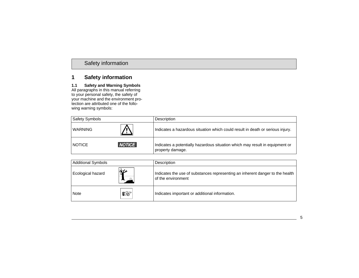### **1.1 Safety and Warning Symbols**

All paragraphs in this manual referring to your personal safety, the safety of your machine and the environment protection are attributed one of the following warning symbols:

| <b>Safety Symbols</b> |               | Description                                                                                      |
|-----------------------|---------------|--------------------------------------------------------------------------------------------------|
| WARNING               |               | Indicates a hazardous situation which could result in death or serious injury.                   |
| <b>NOTICE</b>         | <b>NOTICE</b> | Indicates a potentially hazardous situation which may result in equipment or<br>property damage. |

| <b>Additional Symbols</b> |   | Description                                                                                         |
|---------------------------|---|-----------------------------------------------------------------------------------------------------|
| Ecological hazard         | ₩ | Indicates the use of substances representing an inherent danger to the health<br>of the environment |
| Note                      | 隐 | Indicates important or additional information.                                                      |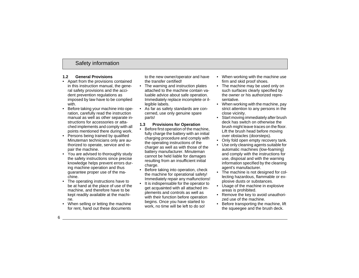### **1.2 General Provisions**

- Apart from the provisions contained in this instruction manual, the general safety provisions and the accident prevention regulations as imposed by law have to be complied with.
- • Before taking your machine into operation, carefully read the instruction manual as well as other separate instructions for accessories or attached implements and comply with all points mentioned there during work.
- Persons being trained by qualified Minuteman technicians only are authorized to operate, service and repair the machine.
- You are advised to thoroughly study the safety instructions since precise knowledge helps prevent errors during machine operation and thus guarantee proper use of the machine.
- • The operating instructions have to be at hand at the place of use of the machine, and therefore have to be kept readily available at the machine.
- When selling or letting the machine for rent, hand out these documents

to the new owner/operator and have the transfer certified!

- The warning and instruction plates attached to the machine contain valuable advice about safe operation. Immediately replace incomplete or illegible labels.
- As far as safety standards are concerned, use only genuine spare parts!

### **1.3 Provisions for Operation**

- • Before first operation of the machine, fully charge the battery with an initial charging procedure and comply with the operating instructions of the charger as well as with those of the battery manufacturer. Minuteman cannot be held liable for damages resulting from an insufficient initial charge.
- • Before taking into operation, check the machine for operational safety! Immediately repair any malfunctions!
- • It is indispensable for the operator to get acquainted with all attached implements and controls as well as with their function before operation begins. Once you have started to work, no time will be left to do so!
- • When working with the machine use firm and skid proof shoes.
- • The machine may be used only on such surfaces clearly specified by the owner or his authorized representative.
- When working with the machine, pay strict attention to any persons in the close vicinity.
- Start moving immediately after brush deck has switch on otherwise the brush might leave traces on the floor. Lift the brush head before moving over obstacles (doorsteps).
- •Only fold open empty recovery tank.
- • Use only cleaning agents suitable for automatic machines (low-foaming) and comply with the instructions for use, disposal and with the warning information specified by the cleaning agent's manufacturer.
- The machine is not designed for collecting hazardous, flammable or explosive dusts or substances.
- Usage of the machine in explosive areas is prohibited.
- Remove the key to avoid unauthorized use of the machine.
- Before transporting the machine, lift the squeegee and the brush deck.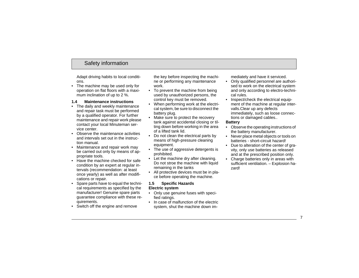Adapt driving habits to local conditions.

• The machine may be used only for operation on flat floors with a maximum inclination of up to 2 %.

### **1.4 Maintenance instructions**

- The daily and weekly maintenance and repair task must be performed by a qualified operator. For further maintenance and repair work please contact your local Minuteman service center.
- Observe the maintenance activities and intervals set out in the instruction manual.
- Maintenance and repair work may be carried out only by means of appropriate tools.
- Have the machine checked for safe condition by an expert at regular intervals (recommendation: at least once yearly) as well as after modifications or repair.
- Spare parts have to equal the technical requirements as specified by the manufacturer! Genuine spare parts guarantee compliance with these requirements.
- Switch off the engine and remove

the key before inspecting the machine or performing any maintenance work.

- To prevent the machine from being used by unauthorized persons, the control key must be removed.
- • When performing work at the electrical system, be sure to disconnect the battery plug.
- • Make sure to protect the recovery tank against accidental closing or tilting down before working in the area of a lifted tank lid.
- • Do not clean the electrical parts by means of high-pressure cleaning equipment.
- The use of aggressive detergents is prohibited.
- Let the machine dry after cleaning. Do not stroe the machine with liquid remaining in the tanks
- All protective devices must be in place before operating the machine.

#### **1.5 Specific Hazards Electric system**

- Only use genuine fuses with specified ratings.
- In case of malfunction of the electric system, shut the machine down im-

mediately and have it serviced.

- Only qualified personnel are authori sed to work on the electrical system and only according to electro-techni cal rules.
- Inspect/check the electrical equip ment of the machine at regular inter-<br>valls. Clear up any defects immediately, such as loose connections or damaged cables..

### **Battery**

- Observe the operating instructions of the battery manufacturer.
- Never place metal objects or tools on batteries short-circuit hazard!
- Due to alteration of the center of gra vity, only use batteries as released and at the prescribed position only.
- Charge batteries only in areas with sufficient ventilation. – Explosion hazard!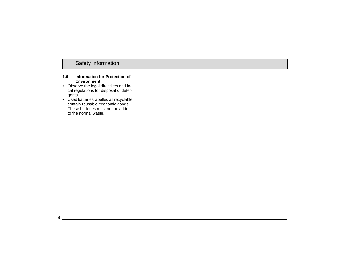#### **1.6 Information for Protection of Environment**

- Observe the legal directives and local regulations for disposal of detergents.
- Used batteries labelled as recyclable contain reusable economic goods. These batteries must not be added to the normal waste.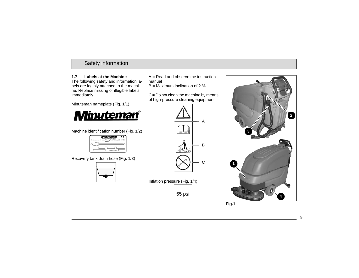### **1.7 Labels at the Machine**

The following safety and information labels are legibly attached to the machine. Replace missing or illegible labels immediately.

Minuteman nameplate (Fig. 1/1)



Machine identification number (Fig. 1/2)

|                     | ¶inuteman<br>c<br>Member of the Hako Group<br>Minuteman Inc., 111 South Rohlwing Road Addison, IL 60101 USA<br>Made in |
|---------------------|------------------------------------------------------------------------------------------------------------------------|
| Model<br>Serial No. |                                                                                                                        |
|                     | Total weight kg/ (b)                                                                                                   |

Recovery tank drain hose (Fig. 1/3)



 $A =$  Read and observe the instruction manual

 $B =$  Maximum inclination of 2 %

 $C = Do$  not clean the machine by means of high-pressure cleaning equipment



Inflation pressure (Fig. 1/4) 65 psi

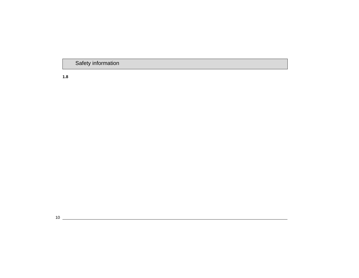**1.8**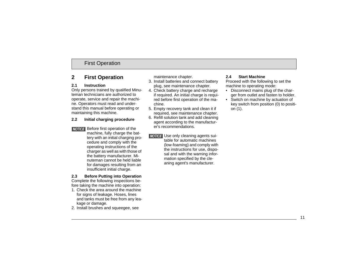# First Operation

# **2 First Operation**

### **2.1 Instruction**

 Only persons trained by qualified Minuteman technicians are authorized to operate, service and repair the machine. Operators must read and understand this manual before operating or maintaining this machine.

#### **2.2 Initial charging procedure**

**NOTICE** Before first operation of the machine, fully charge the battery with an initial charging procedure and comply with the operating instructions of the charger as well as with those of the battery manufacturer. Minuteman cannot be held liable for damages resulting from an insufficient initial charge.

**2.3 Before Putting into Operation**

Complete the following inspections before taking the machine into operation:

- 1. Check the area around the machine for signs of leakage. Hoses, lines and tanks must be free from any leakage or damage.
- 2. Install brushes and squeegee, see

maintenance chapter.

- 3. Install batteries and connect battery plug, see maintenance chapter.
- 4. Check battery charge and recharge if required. An initial charge is required before first operation of the machine.
- 5. Empty recovery tank and clean it if required, see maintenance chapter.
- 6. Refill solution tank and add cleaning agent according to the manufacturer's recommendations.
- **NOTICE** Use only cleaning agents suitable for automatic machines (low-foaming) and comply with the instructions for use, disposal and with the warning information specified by the cleaning agent's manufacturer.

### **2.4 Start Machine**

Proceed with the following to set the machine to operating mode:

- Disconnect mains plug of the charger from outlet and fasten to holder.
- Switch on machine by actuation of key switch from position (0) to position (1).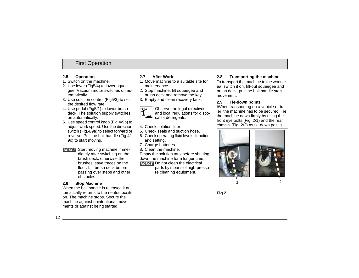# First Operation

#### **2.5 Operation**

- 1. Switch on the machine.
- 2. Use lever (Fig5/4) to lower squeegee. Vacuum motor switches on automatically.
- 3. Use solution control (Fig5/3) to set the desired flow rate.
- 4. Use pedal (Fig5/1) to lower brush deck. The solution supply switches on automatically.
- 5. Use speed control knob (Fig.4/9b) to adjust work speed. Use the direction switch (Fig.4/9a) to select forward or reverse. Pull the bail handle (Fig.4/ 9c) to start moving.
- **NOTICE** Start moving machine immediately after switching on the brush deck, otherwise the brushes leave traces on the floor. Lift brush deck before passing over steps and other obstacles.

### **2.6 Stop Machine**

When the bail handle is released it automatically returns to the neutral position. The machine stops. Secure the machine against unintentional movements or against being started.

### **2.7 After Work**

- 1. Move machine to a suitable site for maintenance.
- 2. Stop machine, lift squeegee and brush deck and remove the key.
- 3. Empty and clean recovery tank.



Observe the legal directives and local regulations for disposal of detergents.

- 4. Check solution filter.
- 5. Check seals and suction hose.
- 6. Check operating fluid levels, function and setting.
- 7. Charge batteries.
- 8. Clean the machine.

Empty the solution tank before shutting down the machine for a longer time.

Do not clean the electrical

parts by means of high-pressure cleaning equipment.

#### **2.8 Transporting the machine**

To transport the machine to the work area, switch it on, lift-out squeegee and brush deck, pull the bail handle start movement.

### **2.9 Tie-down points**

IWhen transporting on a vehicle or trailer, the machine has to be secured. Tie the machine down firmly by using the front eye bolts (Fig. 2/1) and the rear chassis (Fig. 2/2) as tie-down points.



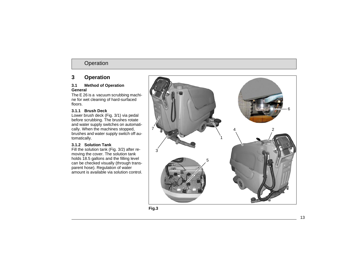# **3 Operation**

#### **3.1 Method of Operation General**

The E 26 is a vacuum scrubbing machine for wet cleaning of hard-surfaced floors.

### **3.1.1 Brush Deck**

Lower brush deck (Fig. 3/1) via pedal before scrubbing. The brushes rotate and water supply switches on automatically. When the machines stopped, brushes and water supply switch off automatically.

### **3.1.2 Solution Tank**

Fill the solution tank (Fig. 3/2) after removing the cover. The solution tank holds 18.5 gallons and the filling level can be checked visually (through transparent hose). Regulation of water amount is available via solution control.

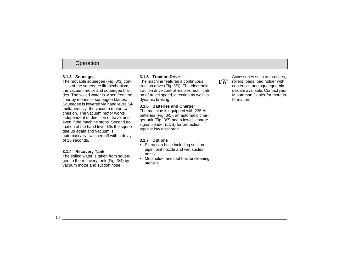### **3.1.3 Squeegee**

The movable squeegee (Fig. 3/3) consists of the squeegee lift mechanism, the vacuum motor and squeegee blades. The soiled water is wiped from the floor by means of squeegee blades. Squeegee is lowered via hand lever. Simultaneously, the vacuum motor switches on. The vacuum motor works independent of direction of travel and even if the machine stops. Second actuation of the hand lever lifts the squeegee up again and vacuum is automatically switched off with a delay of 15 seconds.

### **3.1.4 Recovery Tank**

The soiled water is taken from squeegee to the recovery tank (Fig. 3/4) by vacuum motor and suction hose.

### **3.1.5 Traction Drive**

The machine features a continuous traction drive (Fig. 3/6). The electronic traction drive control realises modification of travel speed, direction as well as dynamic braking.

### **3.1.6 Batteries and Charger**

The machine is equipped with 235 Ah batteries (Fig. 3/5), an automatic charger unit (Fig. 3/7) and a low discharge signal sender (LDS) for protection against low discharge.

### **3.1.7 Options**

- Extraction hose including suction pipe, joint nozzle and wet suction nozzle
- Mop holder and tool-box for cleaning utensils



Accessories such as brushes, rollers, pads, pad holder with centerlock and squeegee blades are available. Contact your Minuteman Dealer for more information.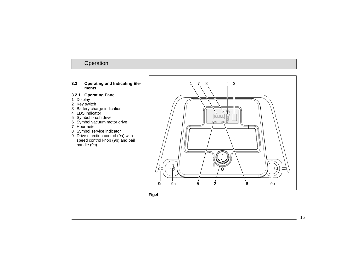#### **3.2 Operating and Indicating Elements**

### **3.2.1 Operating Panel**

- 1 Display
- 2 Key switch
- 3 Battery charge indication
- 4 LDS indicator
- 5 Symbol brush drive
- 6 Symbol vacuum motor drive
- 7 Hourmeter
- 8 Symbol service indicator
- 9 Drive direction control (9a) with speed control knob (9b) and bail handle (9c)



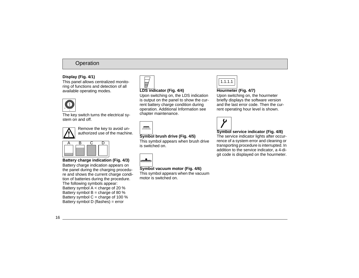### **Display (Fig. 4/1)**

This panel allows centralized monitoring of functions and detection of all available operating modes.



The key switch turns the electrical system on and off.



Remove the key to avoid unauthorized use of the machine.

**Battery charge indication (Fig. 4/3)**

Battery charge indication appears on the panel during the charging procedure and shows the current charge condition of batteries during the procedure. The following symbols appear: Battery symbol  $A <$  charge of 20 % Battery symbol  $B =$  charge of 80 % Battery symbol  $C =$  charge of 100 % Battery symbol D (flashes) = error

### **LDS indicator (Fig. 4/4)**

Upon switching on, the LDS indication is output on the panel to show the current battery charge condition during operation. Additional Information see chapter maintenance.



# **Symbol brush drive (Fig. 4/5)**

This symbol appears when brush drive is switched on.



### **Symbol vacuum motor (Fig. 4/6)**

This symbol appears when the vacuum motor is switched on.



### **Hourmeter (Fig. 4/7)**

Upon switching on, the hourmeter briefly displays the software version and the last error code. Then the current operating hour level is shown.



### **Symbol service indicator (Fig. 4/8)**

The service indicator lights after occurrence of a system error and cleaning or transporting procedure is interrupted. In addition to the service indicator, a 4-digit code is displayed on the hourmeter.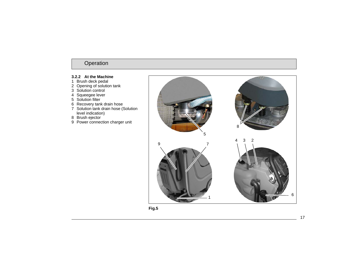### **3.2.2 At the Machine**

- Brush deck pedal
- Opening of solution tank
- Solution control
- Squeegee lever
- Solution filter
- Recovery tank drain hose
- Solution tank drain hose (Solution level indication)
- Brush ejector
- 9 Power connection charger unit



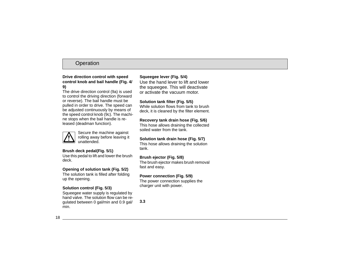#### **Drive direction control with speed control knob and bail handle (Fig. 4/ 9)**

The drive direction control (9a) is used to control the driving direction (forward or reverse). The bail handle must be pulled in order to drive. The speed can be adjusted continuously by means of the speed control knob (9c). The machine stops when the bail handle is released (deadman function).



Secure the machine against rolling away before leaving it unattended.

### **Brush deck pedal(Fig. 5/1)**

Use this pedal to lift and lower the brush deck.

### **Opening of solution tank (Fig. 5/2)**

The solution tank is filled after folding up the opening.

### **Solution control (Fig. 5/3)**

Squeegee water supply is regulated by hand valve. The solution flow can be regulated between 0 gal/min and 0.9 gal/ min.

### **Squeegee lever (Fig. 5/4)**

Use the hand lever to lift and lower the squeegee. This will deactivate or activate the vacuum motor.

### **Solution tank filter (Fig. 5/5)**

While solution flows from tank to brush deck, it is cleaned by the filter element.

#### **Recovery tank drain hose (Fig. 5/6)**

This hose allows draining the collected soiled water from the tank.

### **Solution tank drain hose (Fig. 5/7)**

This hose allows draining the solution tank.

### **Brush ejector (Fig. 5/8)**

The brush ejector makes brush removal fast and easy.

#### **Power connection (Fig. 5/9)**

The power connection supplies the charger unit with power.

**3.3**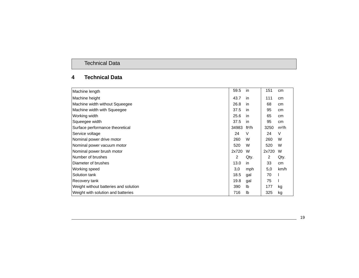# Technical Data

# **4 Technical Data**

| Machine length                        | 59.5           | in                 | 151   | cm                |
|---------------------------------------|----------------|--------------------|-------|-------------------|
| Machine height                        | 43.7           | in.                | 111   | cm                |
| Machine width without Squeegee        | 26.8           | in                 | 68    | cm                |
| Machine width with Squeegee           | 37.5           | in.                | 95    | cm                |
| Working width                         | 25.6           | in.                | 65    | cm                |
| Squeegee width                        | 37.5           | in.                | 95    | cm                |
| Surface performance theoretical       | 34983          | ft <sup>2</sup> /h | 3250  | m <sup>2</sup> /h |
| Service voltage                       | 24             | V                  | 24    | V                 |
| Nominal power drive motor             | 260            | W                  | 260   | W                 |
| Nominal power vacuum motor            | 520            | W                  | 520   | W                 |
| Nominal power brush motor             | 2x720          | W                  | 2x720 | W                 |
| Number of brushes                     | $\overline{2}$ | Qty.               | 2     | Qty.              |
| Diameter of brushes                   | 13.0           | in                 | 33    | cm                |
| Working speed                         | 3,0            | mph                | 5,0   | km/h              |
| Solution tank                         | 18.5           | gal                | 70    |                   |
| Recovery tank                         | 19.8           | gal                | 75    |                   |
| Weight without batteries and solution | 390            | lb                 | 177   | kg                |
| Weight with solution and batteries    | 716            | Ib                 | 325   | kg                |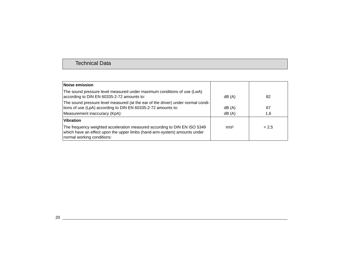| Noise emission                                                                                                                                                                       |                  |       |
|--------------------------------------------------------------------------------------------------------------------------------------------------------------------------------------|------------------|-------|
| The sound pressure level measured under maximum conditions of use (LwA)<br>according to DIN EN 60335-2-72 amounts to:                                                                | dB (A)           | 82    |
| The sound pressure level measured (at the ear of the driver) under normal condi-<br>tions of use (LpA) according to DIN EN 60335-2-72 amounts to:                                    | dB(A)            | 67    |
| Measurement inaccuracy (KpA):                                                                                                                                                        | dB(A)            | 1,6   |
| <b>Vibration</b>                                                                                                                                                                     |                  |       |
| The frequency weighted acceleration measured according to DIN EN ISO 5349<br>which have an effect upon the upper limbs (hand-arm-system) amounts under<br>normal working conditions: | m/s <sup>2</sup> | < 2.5 |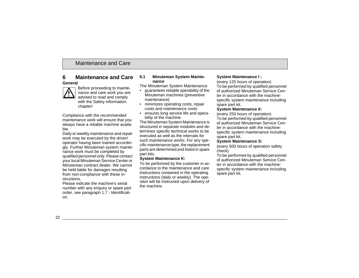#### **General**



Before proceeding to maintenance and care work you are advised to read and comply with the Safety Information chapter!

Compliance with the recommended maintenance work will ensure that you always have a reliable machine available.

Daily or weekly maintenance and repair work may be executed by the driver/ operator having been trained accordingly. Further Minuteman system maintenance work must be completed by qualified personnel only. Please contact your local Minuteman Service Center or Minuteman contract dealer. We cannot be held liable for damages resulting from non-compliance with these instructions.

Please indicate the machine's serial number with any enquiry or spare part order, see paragraph 1.7 - Identification.

#### **6.1 Minuteman System Maintenance**

The Minuteman System Maintenance:

- guarantees reliable operability of the Minuteman machines (preventive maintenance)
- minimizes operating costs, repair costs and maintenance costs
- ensures long service life and operability of the machine

The Minuteman System Maintenance is structured in separate modules and determines specific technical works to be executed as well as the intervals for such maintenance works. For any specific maintenance type, the replacement parts are determined and listed in spare part kits.

### **System Maintenance K:**

To be performed by the customer in accordance to the maintenance and care instructions contained in the operating instructions (daily or weekly). The operator will be instructed upon delivery of the machine.

### **System Maintenance I :**

(every 125 hours of operation) To be performed by qualified personnel of authorized Minuteman Service Center in accordance with the machinespecific system maintenance including spare part kit.

#### **System Maintenance II:**

(every 250 hours of operation)

To be performed by qualified personnel of authorized Minuteman Service Center in accordance with the machinespecific system maintenance including spare part kit.

### **System Maintenance S:**

(every 500 hours of operation safety check)

To be performed by qualified personnel of authorized Minuteman Service Center in accordance with the machinespecific system maintenance including spare part kit.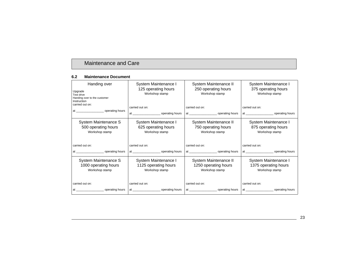#### **6.2 Maintenance Document**

| Handing over<br>Upgrade<br>Test drive<br>Handing over to the customer<br>Instruction<br>carried out on:<br>at __________________________ operating hours | System Maintenance I<br>125 operating hours<br>Workshop stamp<br>carried out on: | System Maintenance II<br>250 operating hours<br>Workshop stamp<br>carried out on: | System Maintenance I<br>375 operating hours<br>Workshop stamp<br>carried out on:<br>at _____________________________ operating hours |
|----------------------------------------------------------------------------------------------------------------------------------------------------------|----------------------------------------------------------------------------------|-----------------------------------------------------------------------------------|--------------------------------------------------------------------------------------------------------------------------------------|
| System Maintenance S<br>500 operating hours<br>Workshop stamp                                                                                            | System Maintenance I<br>625 operating hours<br>Workshop stamp                    | System Maintenance II<br>750 operating hours<br>Workshop stamp                    | System Maintenance I<br>875 operating hours<br>Workshop stamp                                                                        |
| carried out on:                                                                                                                                          | carried out on:                                                                  | carried out on:                                                                   | carried out on:                                                                                                                      |
|                                                                                                                                                          |                                                                                  |                                                                                   |                                                                                                                                      |
| System Maintenance S<br>1000 operating hours<br>Workshop stamp                                                                                           | System Maintenance I<br>1125 operating hours<br>Workshop stamp                   | System Maintenance II<br>1250 operating hours<br>Workshop stamp                   | System Maintenance I<br>1375 operating hours<br>Workshop stamp                                                                       |
| carried out on:                                                                                                                                          | carried out on:                                                                  | carried out on:                                                                   | carried out on:                                                                                                                      |
|                                                                                                                                                          |                                                                                  |                                                                                   |                                                                                                                                      |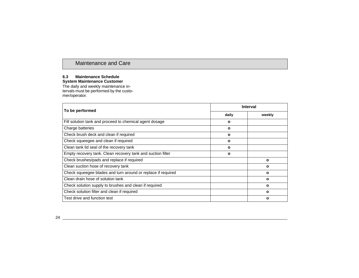#### **6.3 Maintenance ScheduleSystem Maintenance Customer**

The daily and weekly maintenance intervals must be performed by the customer/operator.

| To be performed                                              | <b>Interval</b> |              |
|--------------------------------------------------------------|-----------------|--------------|
|                                                              | daily           | weekly       |
| Fill solution tank and proceed to chemical agent dosage      | ο               |              |
| Charge batteries                                             | ο               |              |
| Check brush deck and clean if required                       | o               |              |
| Check squeeqee and clean if required                         | ٥               |              |
| Clean tank lid seal of the recovery tank                     | o               |              |
| Empty recovery tank. Clean recovery tank and suction filter  | ٥               |              |
| Check brushes/pads and replace if required                   |                 | $\mathbf{o}$ |
| Clean suction hose of recovery tank                          |                 | $\mathbf{o}$ |
| Check squeegee blades and turn around or replace if required |                 | $\Omega$     |
| Clean drain hose of solution tank                            |                 | $\Omega$     |
| Check solution supply to brushes and clean if required       |                 | O            |
| Check solution filter and clean if required                  |                 | $\mathbf{o}$ |
| Test drive and function test                                 |                 | $\Omega$     |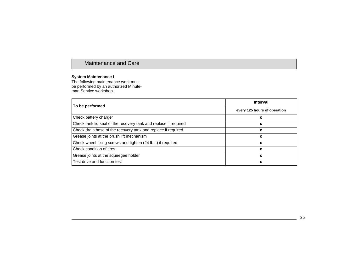### **System Maintenance I**

The following maintenance work must be performed by an authorized Minuteman Service workshop.

| To be performed                                                  | <b>Interval</b>              |  |
|------------------------------------------------------------------|------------------------------|--|
|                                                                  | every 125 hours of operation |  |
| Check battery charger                                            |                              |  |
| Check tank lid seal of the recovery tank and replace if required | ο                            |  |
| Check drain hose of the recovery tank and replace if required    | ο                            |  |
| Grease joints at the brush lift mechanism                        | O                            |  |
| Check wheel fixing screws and tighten (24 lb ft) if required     | $\mathbf{o}$                 |  |
| Check condition of tires                                         | ο                            |  |
| Grease joints at the squeegee holder                             | O                            |  |
| Test drive and function test                                     | ο                            |  |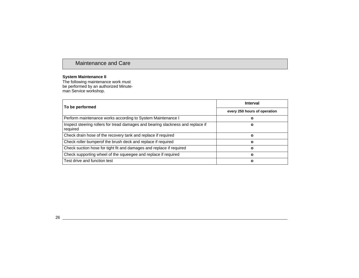#### **System Maintenance II**

The following maintenance work must be performed by an authorized Minuteman Service workshop.

| To be performed                                                                             | <b>Interval</b>              |
|---------------------------------------------------------------------------------------------|------------------------------|
|                                                                                             | every 250 hours of operation |
| Perform maintenance works according to System Maintenance I                                 | ο                            |
| Inspect steering rollers for tread damages and bearing slackness and replace if<br>required | О                            |
| Check drain hose of the recovery tank and replace if required                               | Ο                            |
| Check roller bumperof the brush deck and replace if required                                | ο                            |
| Check suction hose for tight fit and damages and replace if required                        | Ο                            |
| Check supporting wheel of the squeegee and replace if required                              | ο                            |
| Test drive and function test                                                                | ο                            |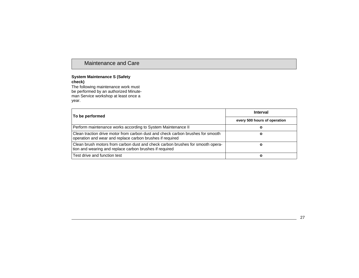#### **System Maintenance S (Safety check)**

The following maintenance work must be performed by an authorized Minuteman Service workshop at least once a year.

| To be performed                                                                                                                              | Interval                     |  |
|----------------------------------------------------------------------------------------------------------------------------------------------|------------------------------|--|
|                                                                                                                                              | every 500 hours of operation |  |
| Perform maintenance works according to System Maintenance II                                                                                 |                              |  |
| Clean traction drive motor from carbon dust and check carbon brushes for smooth<br>operation and wear and replace carbon brushes if required |                              |  |
| Clean brush motors from carbon dust and check carbon brushes for smooth opera-<br>tion and wearing and replace carbon brushes if required    |                              |  |
| Test drive and function test                                                                                                                 | o                            |  |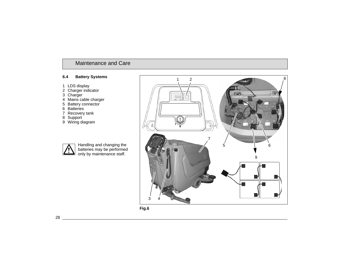### **6.4 Battery Systems**

- LDS display
- Charger indicator
- Charger
- Mains cable charger
- Battery connector
- Batteries
- Recovery tank
- Support
- Wiring diagram



Handling and changing the batteries may be performed only by maintenance staff.

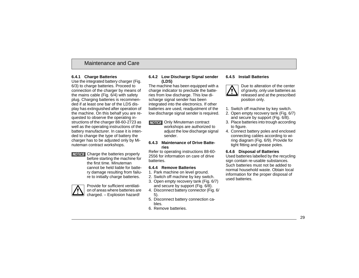#### **6.4.1 Charge Batteries**

Use the integrated battery charger (Fig. 6/3) to charge batteries. Proceed to connection of the charger by means of the mains cable (Fig. 6/4) with safety plug. Charging batteries is recommended if at least one bar of the LDS display has extinguished after operation of the machine. On this behalf you are requested to observe the operating instructions of the charger 88-60-2723 as well as the operating instructions of the battery manufacturer. In case it is intended to change the type of battery the charger has to be adjusted only by Minuteman contract workshops.

**NOTICE** Charge the batteries properly before starting the machine for the first time. Minuteman cannot be held liable for battery damage resulting from failure to initially charge batteries.



Provide for sufficient ventilation of areas where batteries are charged. – Explosion hazard!

#### **6.4.2 Low Discharge Signal sender (LDS)**

The machine has been equipped with a charge indicator to preclude the batteries from low discharge. This low discharge signal sender has been integrated into the electronics. If other batteries are used, readjustment of the low discharge signal sender is required.

**NOTICE** Only Minuteman contract workshops are authorized to adjust the low discharge signal sender.

#### **6.4.3 Maintenance of Drive Batteries**

Refer to operating instructions 88-60- 2556 for information on care of drive batteries.

#### **6.4.4 Remove Batteries**

- 1. Park machine on level ground.
- 2. Switch off machine by key switch.
- 3. Open empty recovery tank (Fig. 6/7) and secure by support (Fig. 6/8).
- 4. Disconnect battery connector (Fig. 6/ 5).
- 5. Disconnect battery connection cables.
- 6. Remove batteries.

### **6.4.5 Install Batteries**



Due to alteration of the center of gravity, only use batteries as released and at the prescribed position only.

- 1. Switch off machine by key switch.
- 2. Open empty recovery tank (Fig. 6/7) and secure by support (Fig. 6/8).
- 3. Place batteries into trough according to figure.
- 4. Connect battery poles and enclosed connecting cables according to wiring diagram (Fig. 6/9). Provide for tight fitting and grease poles.

### **6.4.6 Disposal of Batteries**

Used batteries labelled by the recycling sign contain re-usable substances. Such batteries must not be added to normal household waste. Obtain local information for the proper disposal of used batteries.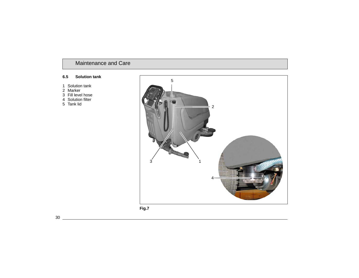#### **6.5 Solution tank**

- Solution tank
- Marker
- Fill level hose
- Solution filter
- Tank lid

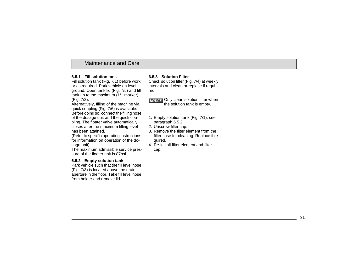### **6.5.1 Fill solution tank**

Fill solution tank (Fig. 7/1) before work or as required. Park vehicle on level ground. Open tank lid (Fig. 7/5) and fill tank up to the maximum  $(1/1$  marker) (Fig. 7/2).

Alternatively, filling of the machine via quick coupling (Fig. 7/6) is available.

Before doing so, connect the filling hose of the dosage unit and the quick coupling. The floater valve automatically closes after the maximum filling level has been attained.

(Refer to specific operating instructions for information on operation of the dosage unit)

The maximum admissible service pressure of the floater unit is 87psi.

### **6.5.2 Empty solution tank**

Park vehicle such that the fill level hose (Fig. 7/3) is located above the drain aperture in the floor. Take fill level hose from holder and remove lid.

### **6.5.3 Solution Filter**

Check solution filter (Fig. 7/4) at weekly intervals and clean or replace if required.

**NOTICE** Only clean solution filter when the solution tank is empty.

- 1. Empty solution tank (Fig. 7/1), see paragraph 6.5.2.
- 2. Unscrew filter cap.
- 3. Remove the filter element from the filter case for cleaning. Replace if required.
- 4. Re-install filter element and filter
	- cap.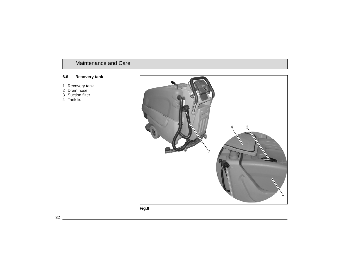### **6.6 Recovery tank**

- Recovery tank
- Drain hose
- Suction filter
- Tank lid

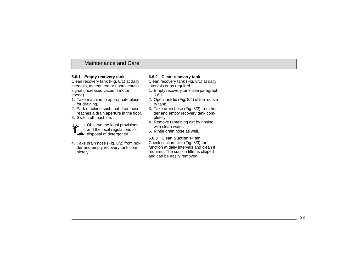### **6.6.1 Empty recovery tank**

Clean recovery tank (Fig. 8/1) at daily intervals, as required or upon acoustic signal (increased vacuum motor speed).

- 1. Take machine to appropriate place for draining.
- 2. Park machine such that drain hose reaches a drain aperture in the floor.
- 3. Switch off machine.



Observe the legal provisions and the local regulations for disposal of detergents!

4. Take drain hose (Fig. 8/2) from holder and empty recovery tank completely.

### **6.6.2 Clean recovery tank**

Clean recovery tank (Fig. 8/1) at daily intervals or as required.

- 1. Empty recovery tank, see paragraph 6.6.1.
- 2. Open tank lid (Fig. 8/4) of the recovery tank.
- 3. Take drain hose (Fig. 8/2) from holder and empty recovery tank completely.
- 4. Remove remaining dirt by rinsing with clean water.
- 5. Rinse drain hose as well.

#### **6.6.3 Clean Suction Filter**

Check suction filter (Fig. 8/3) for function at daily intervals and clean if required. The suction filter is clipped and can be easily removed.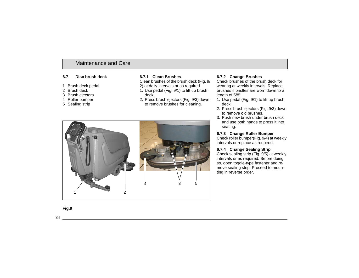#### **6.7 Disc brush deck**

- 1 Brush deck pedal
- 2 Brush deck
- 3 Brush ejectors
- 4 Roller bumper
- 5 Sealing strip

#### **6.7.1 Clean Brushes**

Clean brushes of the brush deck (Fig. 9/

- 2) at daily intervals or as required.
- 1. Use pedal (Fig. 9/1) to lift up brush deck.
- 2. Press brush ejectors (Fig. 9/3) down to remove brushes for cleaning.



### **6.7.2 Change Brushes**

Check brushes of the brush deck for wearing at weekly intervals. Replace brushes if bristles are worn down to a length of 5/8".

- 1. Use pedal (Fig. 9/1) to lift up brush deck.
- 2. Press brush ejectors (Fig. 9/3) down to remove old brushes.
- 3. Push new brush under brush deck and use both hands to press it into seating.

#### **6.7.3 Change Roller Bumper**

Check roller bumper(Fig. 9/4) at weekly intervals or replace as required.

### **6.7.4 Change Sealing Strip**

Check sealing strip (Fig. 9/5) at weekly intervals or as required. Before doing so, open toggle-type fastener and remove sealing strip. Proceed to mounting in reverse order.

### **Fig.9**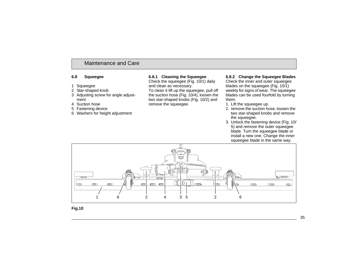#### **6.8 Squeegee**

- 1 Squeegee
- 2 Star-shaped knob
- 3 Adjusting screw for angle adjustment
- 4 Suction hose
- 5 Fastening device
- 6 Washers for height adjustment

#### **6.8.1 Cleaning the Squeegee**

Check the squeegee (Fig. 10/1) daily and clean as necessary.

To clean it lift up the squeegee, pull off the suction hose (Fig. 10/4), loosen the two star-shaped knobs (Fig. 10/2) and remove the squeegee.

#### **6.8.2 Change the Squeegee Blades**

Check the inner and outer squeegee blades on the squeegee (Fig. 10/1) weekly for signs of wear. The squeegee blades can be used fourfold by turning them.

- 1. Lift the squeegee up.
- 2. remove the suction hose, loosen the two star-shaped knobs and remove the squeegee.
- 3. Unlock the fastening device (Fig. 10/ 5) and remove the outer squeegee blade. Turn the squeegee blade or install a new one. Change the inner squeegee blade in the same way.



**Fig.10**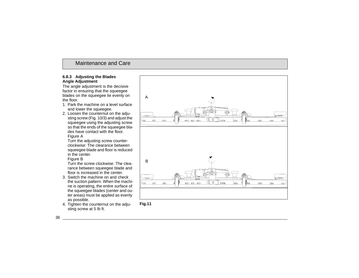#### **6.8.3 Adjusting the Blades Angle Adjustment**

The angle adjustment is the decisive factor in ensuring that the squeegee blades on the squeegee lie evenly on the floor.

- 1. Park the machine on a level surface and lower the squeegee.
- 2. Loosen the counternut on the adjusting screw (Fig. 10/3) and adjust the squeegee using the adjusting screw so that the ends of the squeegee blades have contact with the floor.

Figure A

Turn the adjusting screw counterclockwise: The clearance between squeegee blade and floor is reduced in the center.

Figure B

Turn the screw clockwise: The clearance between squeegee blade and floor is increased in the center.

- 3. Switch the machine on and check the suction pattern. When the machine is operating, the entire surface of the squeegee blades (center and outer areas) must be applied as evenly as possible.
- 4. Tighten the counternut on the adju-sting screw at 5 lb ft. **Fig.11**



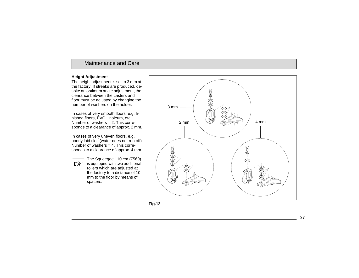#### **Height Adjustment**

The height adjustment is set to 3 mm at the factory. If streaks are produced, despite an optimum angle adjustment, the clearance between the casters and floor must be adjusted by changing the number of washers on the holder.

In cases of very smooth floors, e.g. finished floors, PVC, linoleum, etc. Number of washers = 2. This corresponds to a clearance of approx. 2 mm.

In cases of very uneven floors, e.g. poorly laid tiles (water does not run off) Number of washers  $= 4$ . This corresponds to a clearance of approx. 4 mm.

 $\mathbb{R}$ 

The Squeegee 110 cm (7569) is equipped with two additional rollers which are adjusted at the factory to a distance of 10 mm to the floor by means of spacers.



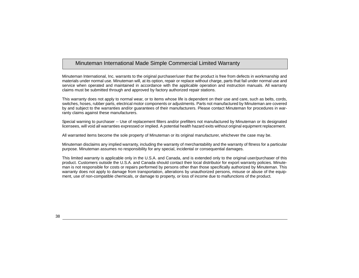# Minuteman International Made Simple Commercial Limited Warranty

Minuteman International, Inc. warrants to the original purchaser/user that the product is free from defects in workmanship and materials under normal use. Minuteman will, at its option, repair or replace without charge, parts that fail under normal use and service when operated and maintained in accordance with the applicable operation and instruction manuals. All warranty claims must be submitted through and approved by factory authorized repair stations.

This warranty does not apply to normal wear, or to items whose life is dependent on their use and care, such as belts, cords, switches, hoses, rubber parts, electrical motor components or adjustments. Parts not manufactured by Minuteman are covered by and subject to the warranties and/or guarantees of their manufacturers. Please contact Minuteman for procedures in warranty claims against these manufacturers.

Special warning to purchaser -- Use of replacement filters and/or prefilters not manufactured by Minuteman or its designated licensees, will void all warranties expressed or implied. A potential health hazard exits without original equipment replacement.

All warranted items become the sole property of Minuteman or its original manufacturer, whichever the case may be.

Minuteman disclaims any implied warranty, including the warranty of merchantability and the warranty of fitness for a particular purpose. Minuteman assumes no responsibility for any special, incidental or consequential damages.

This limited warranty is applicable only in the U.S.A. and Canada, and is extended only to the original user/purchaser of this product. Customers outside the U.S.A. and Canada should contact their local distributor for export warranty policies. Minuteman is not responsible for costs or repairs performed by persons other than those specifically authorized by Minuteman. This warranty does not apply to damage from transportation, alterations by unauthorized persons, misuse or abuse of the equipment, use of non-compatible chemicals, or damage to property, or loss of income due to malfunctions of the product.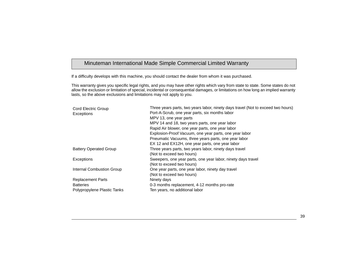# Minuteman International Made Simple Commercial Limited Warranty

If a difficulty develops with this machine, you should contact the dealer from whom it was purchased.

This warranty gives you specific legal rights, and you may have other rights which vary from state to state. Some states do not allow the exclusion or limitation of special, incidental or consequential damages, or limitations on how long an implied warranty lasts, so the above exclusions and limitations may not apply to you.

| <b>Cord Electric Group</b>    | Three years parts, two years labor, ninety days travel (Not to exceed two hours) |
|-------------------------------|----------------------------------------------------------------------------------|
| Exceptions                    | Port-A-Scrub, one year parts, six months labor                                   |
|                               | MPV 13, one year parts                                                           |
|                               | MPV 14 and 18, two years parts, one year labor                                   |
|                               | Rapid Air blower, one year parts, one year labor                                 |
|                               | Explosion-Proof Vacuum, one year parts, one year labor                           |
|                               | Pneumatic Vacuums, three years parts, one year labor                             |
|                               | EX 12 and EX12H, one year parts, one year labor                                  |
| <b>Battery Operated Group</b> | Three years parts, two years labor, ninety days travel                           |
|                               | (Not to exceed two hours)                                                        |
| Exceptions                    | Sweepers, one year parts, one year labor, ninety days travel                     |
|                               | (Not to exceed two hours)                                                        |
| Internal Combustion Group     | One year parts, one year labor, ninety day travel                                |
|                               | (Not to exceed two hours)                                                        |
| <b>Replacement Parts</b>      | Ninety days                                                                      |
| <b>Batteries</b>              | 0-3 months replacement, 4-12 months pro-rate                                     |
| Polypropylene Plastic Tanks   | Ten years, no additional labor                                                   |